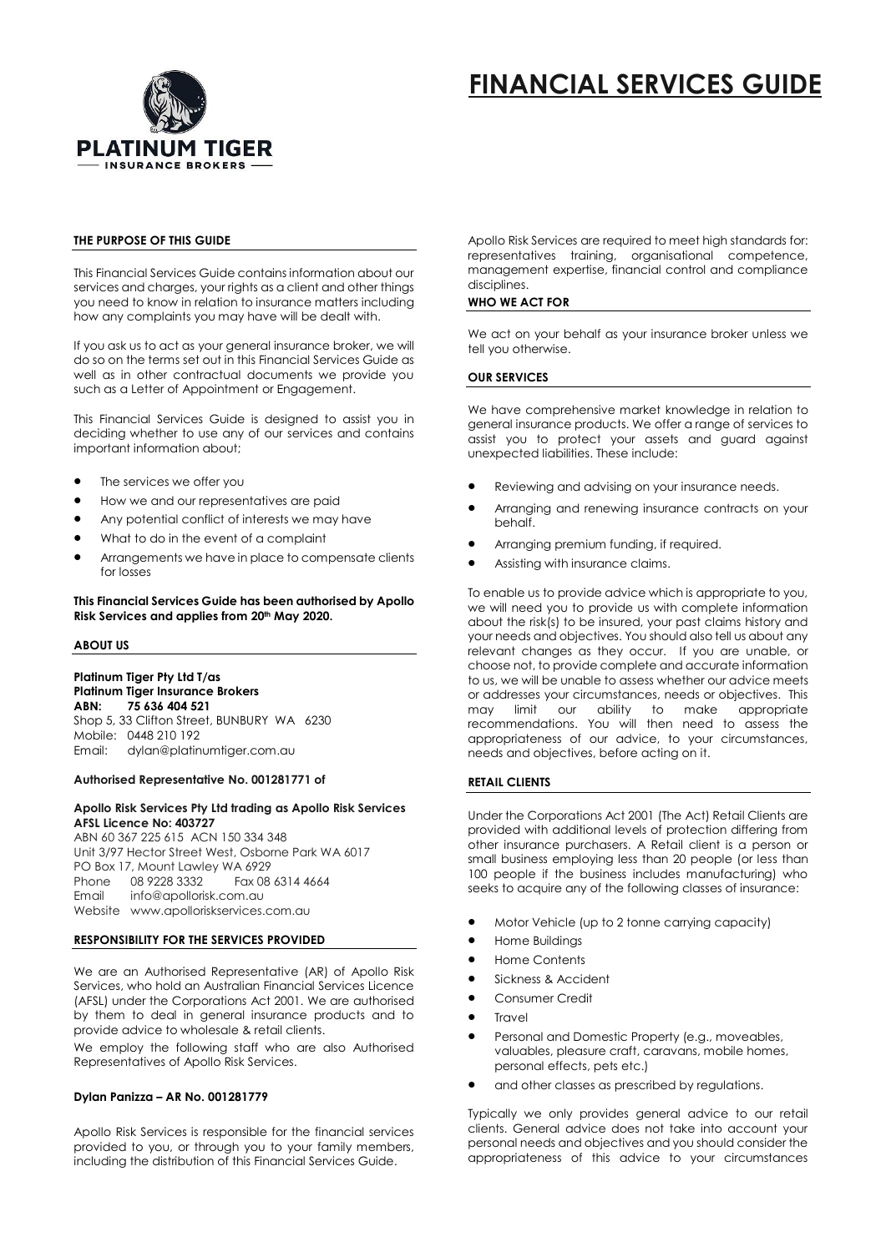

# **FINANCIAL SERVICES GUIDE**

# **THE PURPOSE OF THIS GUIDE**

This Financial Services Guide contains information about our services and charges, your rights as a client and other things you need to know in relation to insurance matters including how any complaints you may have will be dealt with.

If you ask us to act as your general insurance broker, we will do so on the terms set out in this Financial Services Guide as well as in other contractual documents we provide you such as a Letter of Appointment or Engagement.

This Financial Services Guide is designed to assist you in deciding whether to use any of our services and contains important information about;

- The services we offer you
- How we and our representatives are paid
- Any potential conflict of interests we may have
- What to do in the event of a complaint
- Arrangements we have in place to compensate clients for losses

**This Financial Services Guide has been authorised by Apollo Risk Services and applies from 20th May 2020.**

## **ABOUT US**

**Platinum Tiger Pty Ltd T/as** Platinum Tiger Insurance Brokers<br>ARN: 75 636 404 521 **ABN: 75 636 404 521** Shop 5, 33 Clifton Street, BUNBURY WA 6230 Mobile: 0448 210 192 Email: dylan@platinumtiger.com.au

## **Authorised Representative No. 001281771 of**

# **Apollo Risk Services Pty Ltd trading as Apollo Risk Services AFSL Licence No: 403727**

ABN 60 367 225 615 ACN 150 334 348 Unit 3/97 Hector Street West, Osborne Park WA 6017 PO Box 17, Mount Lawley WA 6929 Phone 08 9228 3332 Fax 08 6314 4664 Email info@apollorisk.com.au Website www.apolloriskservices.com.au

## **RESPONSIBILITY FOR THE SERVICES PROVIDED**

We are an Authorised Representative (AR) of Apollo Risk Services, who hold an Australian Financial Services Licence (AFSL) under the Corporations Act 2001. We are authorised by them to deal in general insurance products and to provide advice to wholesale & retail clients.

We employ the following staff who are also Authorised Representatives of Apollo Risk Services.

# **Dylan Panizza – AR No. 001281779**

Apollo Risk Services is responsible for the financial services provided to you, or through you to your family members, including the distribution of this Financial Services Guide.

Apollo Risk Services are required to meet high standards for: representatives training, organisational competence, management expertise, financial control and compliance disciplines.

# **WHO WE ACT FOR**

We act on your behalf as your insurance broker unless we tell you otherwise.

# **OUR SERVICES**

We have comprehensive market knowledge in relation to general insurance products. We offer a range of services to assist you to protect your assets and guard against unexpected liabilities. These include:

- Reviewing and advising on your insurance needs.
- Arranging and renewing insurance contracts on your behalf.
- Arranging premium funding, if required.
- Assisting with insurance claims.

To enable us to provide advice which is appropriate to you, we will need you to provide us with complete information about the risk(s) to be insured, your past claims history and your needs and objectives. You should also tell us about any relevant changes as they occur. If you are unable, or choose not, to provide complete and accurate information to us, we will be unable to assess whether our advice meets or addresses your circumstances, needs or objectives. This may limit our ability to make appropriate recommendations. You will then need to assess the appropriateness of our advice, to your circumstances, needs and objectives, before acting on it.

# **RETAIL CLIENTS**

Under the Corporations Act 2001 (The Act) Retail Clients are provided with additional levels of protection differing from other insurance purchasers. A Retail client is a person or small business employing less than 20 people (or less than 100 people if the business includes manufacturing) who seeks to acquire any of the following classes of insurance:

- Motor Vehicle (up to 2 tonne carrying capacity)
- Home Buildings
- Home Contents
- Sickness & Accident
- Consumer Credit
- Travel
- Personal and Domestic Property (e.g., moveables, valuables, pleasure craft, caravans, mobile homes, personal effects, pets etc.)
- and other classes as prescribed by regulations.

Typically we only provides general advice to our retail clients. General advice does not take into account your personal needs and objectives and you should consider the appropriateness of this advice to your circumstances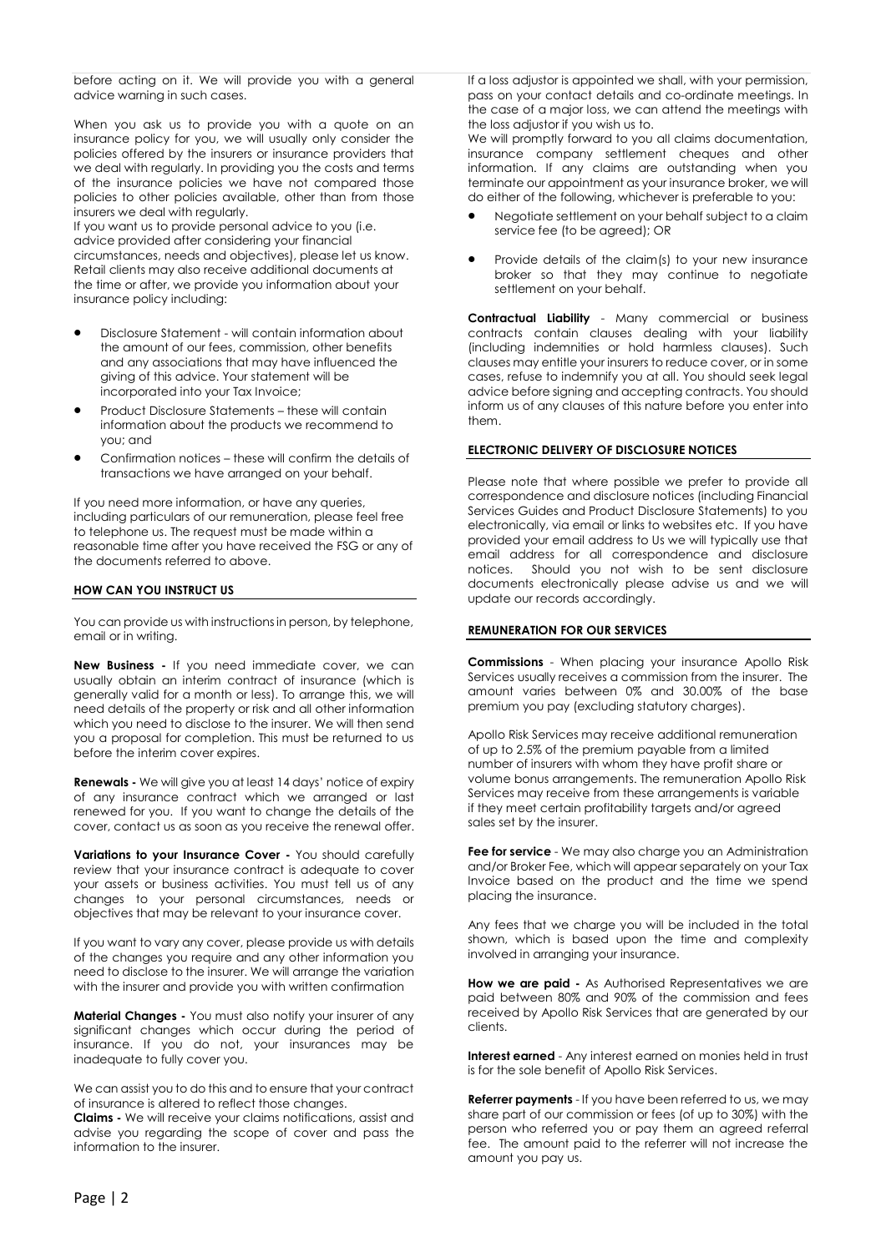before acting on it. We will provide you with a general advice warning in such cases.

When you ask us to provide you with a quote on an insurance policy for you, we will usually only consider the policies offered by the insurers or insurance providers that we deal with regularly. In providing you the costs and terms of the insurance policies we have not compared those policies to other policies available, other than from those insurers we deal with regularly.

If you want us to provide personal advice to you (i.e. advice provided after considering your financial circumstances, needs and objectives), please let us know. Retail clients may also receive additional documents at the time or after, we provide you information about your insurance policy including:

- Disclosure Statement will contain information about the amount of our fees, commission, other benefits and any associations that may have influenced the giving of this advice. Your statement will be incorporated into your Tax Invoice;
- Product Disclosure Statements these will contain information about the products we recommend to you; and
- Confirmation notices these will confirm the details of transactions we have arranged on your behalf.

If you need more information, or have any queries, including particulars of our remuneration, please feel free to telephone us. The request must be made within a reasonable time after you have received the FSG or any of the documents referred to above.

# **HOW CAN YOU INSTRUCT US**

You can provide us with instructions in person, by telephone, email or in writing.

**New Business -** If you need immediate cover, we can usually obtain an interim contract of insurance (which is generally valid for a month or less). To arrange this, we will need details of the property or risk and all other information which you need to disclose to the insurer. We will then send you a proposal for completion. This must be returned to us before the interim cover expires.

**Renewals -** We will give you at least 14 days' notice of expiry of any insurance contract which we arranged or last renewed for you. If you want to change the details of the cover, contact us as soon as you receive the renewal offer.

**Variations to your Insurance Cover -** You should carefully review that your insurance contract is adequate to cover your assets or business activities. You must tell us of any changes to your personal circumstances, needs or objectives that may be relevant to your insurance cover.

If you want to vary any cover, please provide us with details of the changes you require and any other information you need to disclose to the insurer. We will arrange the variation with the insurer and provide you with written confirmation

**Material Changes -** You must also notify your insurer of any significant changes which occur during the period of insurance. If you do not, your insurances may be inadequate to fully cover you.

We can assist you to do this and to ensure that your contract of insurance is altered to reflect those changes.

**Claims -** We will receive your claims notifications, assist and advise you regarding the scope of cover and pass the information to the insurer.

If a loss adjustor is appointed we shall, with your permission, pass on your contact details and co-ordinate meetings. In the case of a major loss, we can attend the meetings with the loss adjustor if you wish us to.

We will promptly forward to you all claims documentation, insurance company settlement cheques and other information. If any claims are outstanding when you terminate our appointment as your insurance broker, we will do either of the following, whichever is preferable to you:

- Negotiate settlement on your behalf subject to a claim service fee (to be agreed); OR
- Provide details of the claim(s) to your new insurance broker so that they may continue to negotiate settlement on your behalf.

**Contractual Liability** - Many commercial or business contracts contain clauses dealing with your liability (including indemnities or hold harmless clauses). Such clauses may entitle your insurers to reduce cover, or in some cases, refuse to indemnify you at all. You should seek legal advice before signing and accepting contracts. You should inform us of any clauses of this nature before you enter into them.

# **ELECTRONIC DELIVERY OF DISCLOSURE NOTICES**

Please note that where possible we prefer to provide all correspondence and disclosure notices (including Financial Services Guides and Product Disclosure Statements) to you electronically, via email or links to websites etc. If you have provided your email address to Us we will typically use that email address for all correspondence and disclosure notices. Should you not wish to be sent disclosure documents electronically please advise us and we will update our records accordingly.

## **REMUNERATION FOR OUR SERVICES**

**Commissions** - When placing your insurance Apollo Risk Services usually receives a commission from the insurer. The amount varies between 0% and 30.00% of the base premium you pay (excluding statutory charges).

Apollo Risk Services may receive additional remuneration of up to 2.5% of the premium payable from a limited number of insurers with whom they have profit share or volume bonus arrangements. The remuneration Apollo Risk Services may receive from these arrangements is variable if they meet certain profitability targets and/or agreed sales set by the insurer.

**Fee for service** - We may also charge you an Administration and/or Broker Fee, which will appear separately on your Tax Invoice based on the product and the time we spend placing the insurance.

Any fees that we charge you will be included in the total shown, which is based upon the time and complexity involved in arranging your insurance.

**How we are paid -** As Authorised Representatives we are paid between 80% and 90% of the commission and fees received by Apollo Risk Services that are generated by our clients.

**Interest earned** - Any interest earned on monies held in trust is for the sole benefit of Apollo Risk Services.

**Referrer payments** - If you have been referred to us, we may share part of our commission or fees (of up to 30%) with the person who referred you or pay them an agreed referral fee. The amount paid to the referrer will not increase the amount you pay us.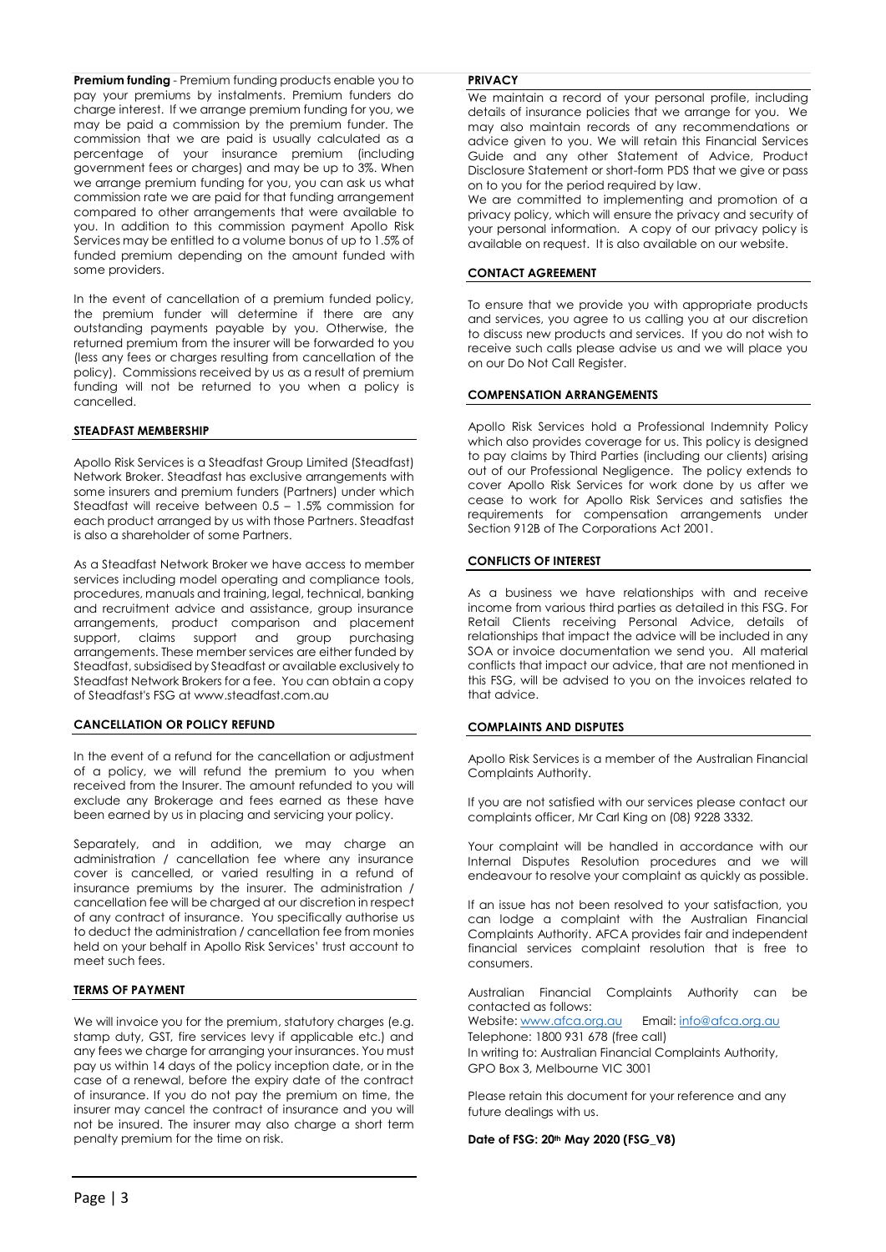**Premium funding** - Premium funding products enable you to pay your premiums by instalments. Premium funders do charge interest. If we arrange premium funding for you, we may be paid a commission by the premium funder. The commission that we are paid is usually calculated as a percentage of your insurance premium (including government fees or charges) and may be up to 3%. When we arrange premium funding for you, you can ask us what commission rate we are paid for that funding arrangement compared to other arrangements that were available to you. In addition to this commission payment Apollo Risk Services may be entitled to a volume bonus of up to 1.5% of funded premium depending on the amount funded with some providers.

In the event of cancellation of a premium funded policy, the premium funder will determine if there are any outstanding payments payable by you. Otherwise, the returned premium from the insurer will be forwarded to you (less any fees or charges resulting from cancellation of the policy). Commissions received by us as a result of premium funding will not be returned to you when a policy is cancelled.

# **STEADFAST MEMBERSHIP**

Apollo Risk Services is a Steadfast Group Limited (Steadfast) Network Broker. Steadfast has exclusive arrangements with some insurers and premium funders (Partners) under which Steadfast will receive between 0.5 – 1.5% commission for each product arranged by us with those Partners. Steadfast is also a shareholder of some Partners.

As a Steadfast Network Broker we have access to member services including model operating and compliance tools, procedures, manuals and training, legal, technical, banking and recruitment advice and assistance, group insurance arrangements, product comparison and placement support, claims support and group purchasing arrangements. These member services are either funded by Steadfast, subsidised by Steadfast or available exclusively to Steadfast Network Brokers for a fee. You can obtain a copy of Steadfast's FSG at www.steadfast.com.au

# **CANCELLATION OR POLICY REFUND**

In the event of a refund for the cancellation or adjustment of a policy, we will refund the premium to you when received from the Insurer. The amount refunded to you will exclude any Brokerage and fees earned as these have been earned by us in placing and servicing your policy.

Separately, and in addition, we may charge an administration / cancellation fee where any insurance cover is cancelled, or varied resulting in a refund of insurance premiums by the insurer. The administration / cancellation fee will be charged at our discretion in respect of any contract of insurance. You specifically authorise us to deduct the administration / cancellation fee from monies held on your behalf in Apollo Risk Services' trust account to meet such fees.

# **TERMS OF PAYMENT**

We will invoice you for the premium, statutory charges (e.g. stamp duty, GST, fire services levy if applicable etc.) and any fees we charge for arranging your insurances. You must pay us within 14 days of the policy inception date, or in the case of a renewal, before the expiry date of the contract of insurance. If you do not pay the premium on time, the insurer may cancel the contract of insurance and you will not be insured. The insurer may also charge a short term penalty premium for the time on risk.

## **PRIVACY**

We maintain a record of your personal profile, including details of insurance policies that we arrange for you. We may also maintain records of any recommendations or advice given to you. We will retain this Financial Services Guide and any other Statement of Advice, Product Disclosure Statement or short-form PDS that we give or pass on to you for the period required by law.

We are committed to implementing and promotion of a privacy policy, which will ensure the privacy and security of your personal information. A copy of our privacy policy is available on request. It is also available on our website.

## **CONTACT AGREEMENT**

To ensure that we provide you with appropriate products and services, you agree to us calling you at our discretion to discuss new products and services. If you do not wish to receive such calls please advise us and we will place you on our Do Not Call Register.

## **COMPENSATION ARRANGEMENTS**

Apollo Risk Services hold a Professional Indemnity Policy which also provides coverage for us. This policy is designed to pay claims by Third Parties (including our clients) arising out of our Professional Negligence. The policy extends to cover Apollo Risk Services for work done by us after we cease to work for Apollo Risk Services and satisfies the requirements for compensation arrangements under Section 912B of The Corporations Act 2001.

# **CONFLICTS OF INTEREST**

As a business we have relationships with and receive income from various third parties as detailed in this FSG. For Retail Clients receiving Personal Advice, details of relationships that impact the advice will be included in any SOA or invoice documentation we send you. All material conflicts that impact our advice, that are not mentioned in this FSG, will be advised to you on the invoices related to that advice.

# **COMPLAINTS AND DISPUTES**

Apollo Risk Services is a member of the Australian Financial Complaints Authority.

If you are not satisfied with our services please contact our complaints officer, Mr Carl King on (08) 9228 3332.

Your complaint will be handled in accordance with our Internal Disputes Resolution procedures and we will endeavour to resolve your complaint as quickly as possible.

If an issue has not been resolved to your satisfaction, you can lodge a complaint with the Australian Financial Complaints Authority. AFCA provides fair and independent financial services complaint resolution that is free to consumers.

Australian Financial Complaints Authority can be contacted as follows:

Website: [www.afca.org.au](https://www.afca.org.au/) Email: [info@afca.org.au](mailto:info@afca.org.au) Telephone: 1800 931 678 (free call) In writing to: Australian Financial Complaints Authority,

GPO Box 3, Melbourne VIC 3001

Please retain this document for your reference and any future dealings with us.

#### **Date of FSG: 20th May 2020 (FSG\_V8)**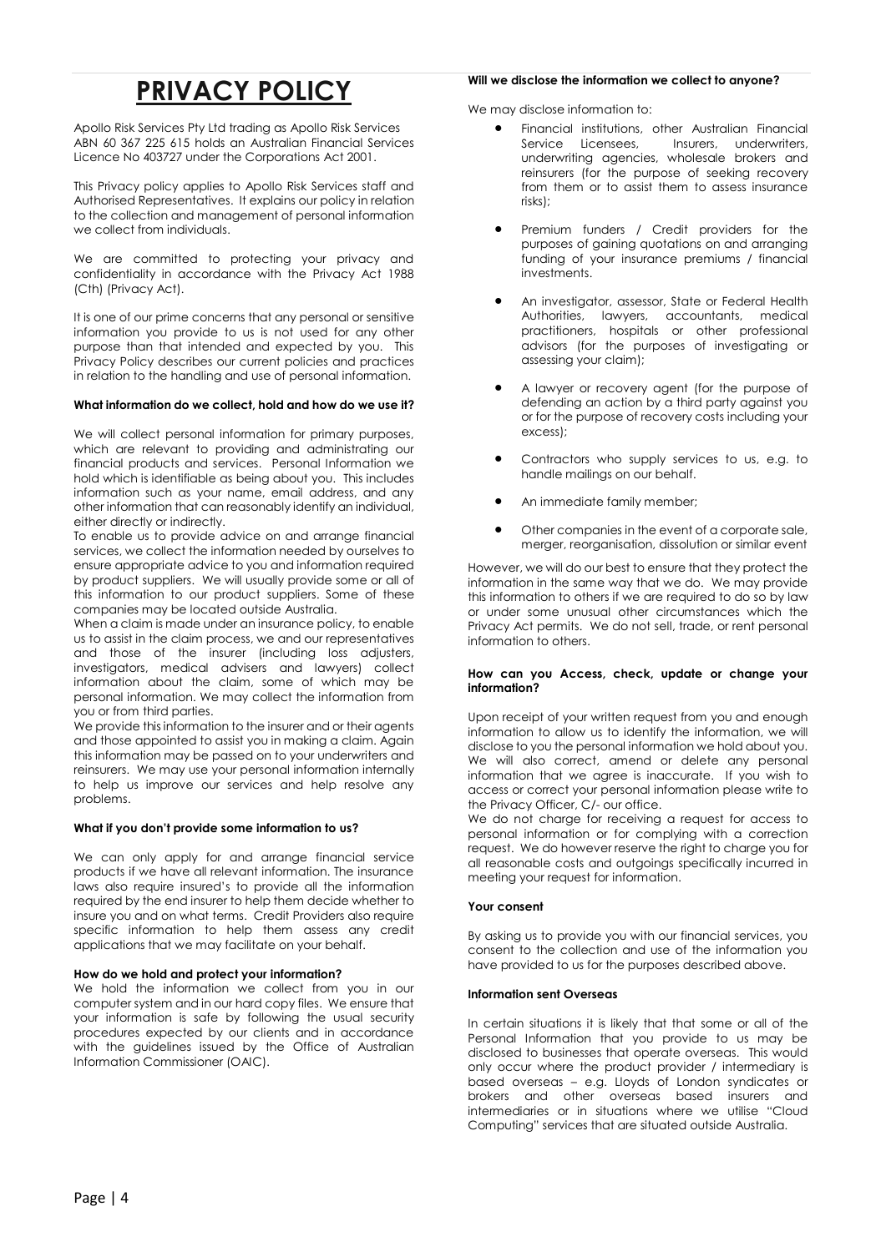# **PRIVACY POLICY**

Apollo Risk Services Pty Ltd trading as Apollo Risk Services ABN 60 367 225 615 holds an Australian Financial Services Licence No 403727 under the Corporations Act 2001.

This Privacy policy applies to Apollo Risk Services staff and Authorised Representatives. It explains our policy in relation to the collection and management of personal information we collect from individuals.

We are committed to protecting your privacy and confidentiality in accordance with the Privacy Act 1988 (Cth) (Privacy Act).

It is one of our prime concerns that any personal or sensitive information you provide to us is not used for any other purpose than that intended and expected by you. This Privacy Policy describes our current policies and practices in relation to the handling and use of personal information.

# **What information do we collect, hold and how do we use it?**

We will collect personal information for primary purposes, which are relevant to providing and administrating our financial products and services. Personal Information we hold which is identifiable as being about you. This includes information such as your name, email address, and any other information that can reasonably identify an individual, either directly or indirectly.

To enable us to provide advice on and arrange financial services, we collect the information needed by ourselves to ensure appropriate advice to you and information required by product suppliers. We will usually provide some or all of this information to our product suppliers. Some of these companies may be located outside Australia.

When a claim is made under an insurance policy, to enable us to assist in the claim process, we and our representatives and those of the insurer (including loss adjusters, investigators, medical advisers and lawyers) collect information about the claim, some of which may be personal information. We may collect the information from you or from third parties.

We provide this information to the insurer and or their agents and those appointed to assist you in making a claim. Again this information may be passed on to your underwriters and reinsurers. We may use your personal information internally to help us improve our services and help resolve any problems.

# **What if you don't provide some information to us?**

We can only apply for and arrange financial service products if we have all relevant information. The insurance laws also require insured's to provide all the information required by the end insurer to help them decide whether to insure you and on what terms. Credit Providers also require specific information to help them assess any credit applications that we may facilitate on your behalf.

# **How do we hold and protect your information?**

We hold the information we collect from you in our computer system and in our hard copy files. We ensure that your information is safe by following the usual security procedures expected by our clients and in accordance with the guidelines issued by the Office of Australian Information Commissioner (OAIC).

# **Will we disclose the information we collect to anyone?**

We may disclose information to:

- Financial institutions, other Australian Financial<br>Service Licensees, Insurers, underwriters, Insurers, underwriters, underwriting agencies, wholesale brokers and reinsurers (for the purpose of seeking recovery from them or to assist them to assess insurance risks);
- Premium funders / Credit providers for the purposes of gaining quotations on and arranging funding of your insurance premiums / financial investments.
- An investigator, assessor, State or Federal Health Authorities, lawyers, accountants, medical practitioners, hospitals or other professional advisors (for the purposes of investigating or assessing your claim);
- A lawyer or recovery agent (for the purpose of defending an action by a third party against you or for the purpose of recovery costs including your excess);
- Contractors who supply services to us, e.g. to handle mailings on our behalf.
- An immediate family member;
- Other companies in the event of a corporate sale, merger, reorganisation, dissolution or similar event

However, we will do our best to ensure that they protect the information in the same way that we do. We may provide this information to others if we are required to do so by law or under some unusual other circumstances which the Privacy Act permits. We do not sell, trade, or rent personal information to others.

## **How can you Access, check, update or change your information?**

Upon receipt of your written request from you and enough information to allow us to identify the information, we will disclose to you the personal information we hold about you. We will also correct, amend or delete any personal information that we agree is inaccurate. If you wish to access or correct your personal information please write to the Privacy Officer, C/- our office.

We do not charge for receiving a request for access to personal information or for complying with a correction request. We do however reserve the right to charge you for all reasonable costs and outgoings specifically incurred in meeting your request for information.

# **Your consent**

By asking us to provide you with our financial services, you consent to the collection and use of the information you have provided to us for the purposes described above.

## **Information sent Overseas**

In certain situations it is likely that that some or all of the Personal Information that you provide to us may be disclosed to businesses that operate overseas. This would only occur where the product provider / intermediary is based overseas – e.g. Lloyds of London syndicates or brokers and other overseas based insurers and intermediaries or in situations where we utilise "Cloud Computing" services that are situated outside Australia.